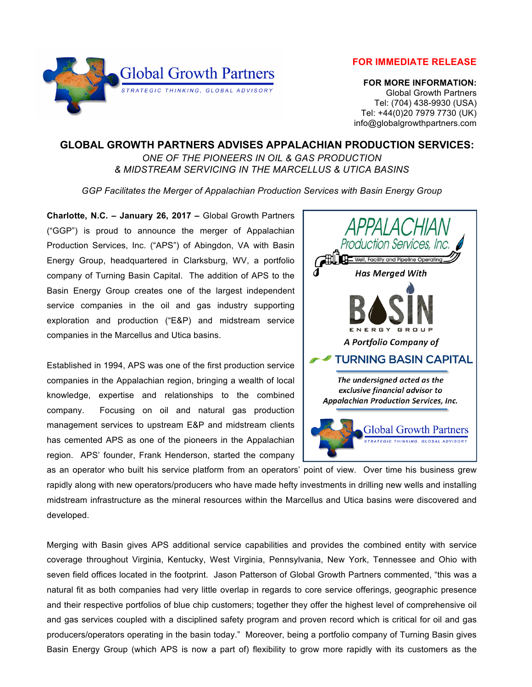



 **FOR MORE INFORMATION:** Global Growth Partners Tel: (704) 438-9930 (USA) Tel: +44(0)20 7979 7730 (UK) info@globalgrowthpartners.com

## **GLOBAL GROWTH PARTNERS ADVISES APPALACHIAN PRODUCTION SERVICES:**

*ONE OF THE PIONEERS IN OIL & GAS PRODUCTION & MIDSTREAM SERVICING IN THE MARCELLUS & UTICA BASINS*

*GGP Facilitates the Merger of Appalachian Production Services with Basin Energy Group*

**Charlotte, N.C. – January 26, 2017 –** Global Growth Partners ("GGP") is proud to announce the merger of Appalachian Production Services, Inc. ("APS") of Abingdon, VA with Basin Energy Group, headquartered in Clarksburg, WV, a portfolio company of Turning Basin Capital. The addition of APS to the Basin Energy Group creates one of the largest independent service companies in the oil and gas industry supporting exploration and production ("E&P) and midstream service companies in the Marcellus and Utica basins.

Established in 1994, APS was one of the first production service companies in the Appalachian region, bringing a wealth of local knowledge, expertise and relationships to the combined company. Focusing on oil and natural gas production management services to upstream E&P and midstream clients has cemented APS as one of the pioneers in the Appalachian region. APS' founder, Frank Henderson, started the company



as an operator who built his service platform from an operators' point of view. Over time his business grew rapidly along with new operators/producers who have made hefty investments in drilling new wells and installing midstream infrastructure as the mineral resources within the Marcellus and Utica basins were discovered and developed.

Merging with Basin gives APS additional service capabilities and provides the combined entity with service coverage throughout Virginia, Kentucky, West Virginia, Pennsylvania, New York, Tennessee and Ohio with seven field offices located in the footprint. Jason Patterson of Global Growth Partners commented, "this was a natural fit as both companies had very little overlap in regards to core service offerings, geographic presence and their respective portfolios of blue chip customers; together they offer the highest level of comprehensive oil and gas services coupled with a disciplined safety program and proven record which is critical for oil and gas producers/operators operating in the basin today." Moreover, being a portfolio company of Turning Basin gives Basin Energy Group (which APS is now a part of) flexibility to grow more rapidly with its customers as the